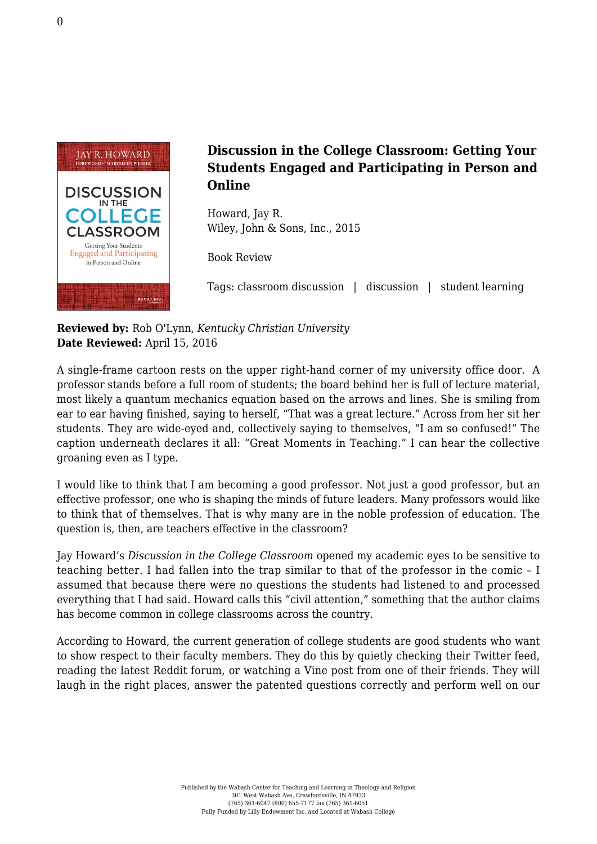

## **Discussion in the College Classroom: Getting Your Students Engaged and Participating in Person and Online**

Howard, Jay R. [Wiley, John & Sons, Inc., 2015](http://www.wiley.com/WileyCDA/WileyTitle/productCd-1118571355.html)

Book Review

Tags: classroom discussion | discussion | student learning

**Reviewed by:** Rob O'Lynn, *Kentucky Christian University* **Date Reviewed:** April 15, 2016

A single-frame cartoon rests on the upper right-hand corner of my university office door. A professor stands before a full room of students; the board behind her is full of lecture material, most likely a quantum mechanics equation based on the arrows and lines. She is smiling from ear to ear having finished, saying to herself, "That was a great lecture." Across from her sit her students. They are wide-eyed and, collectively saying to themselves, "I am so confused!" The caption underneath declares it all: "Great Moments in Teaching." I can hear the collective groaning even as I type.

I would like to think that I am becoming a good professor. Not just a good professor, but an effective professor, one who is shaping the minds of future leaders. Many professors would like to think that of themselves. That is why many are in the noble profession of education. The question is, then, are teachers effective in the classroom?

Jay Howard's *Discussion in the College Classroom* opened my academic eyes to be sensitive to teaching better. I had fallen into the trap similar to that of the professor in the comic – I assumed that because there were no questions the students had listened to and processed everything that I had said. Howard calls this "civil attention," something that the author claims has become common in college classrooms across the country.

According to Howard, the current generation of college students are good students who want to show respect to their faculty members. They do this by quietly checking their Twitter feed, reading the latest Reddit forum, or watching a Vine post from one of their friends. They will laugh in the right places, answer the patented questions correctly and perform well on our